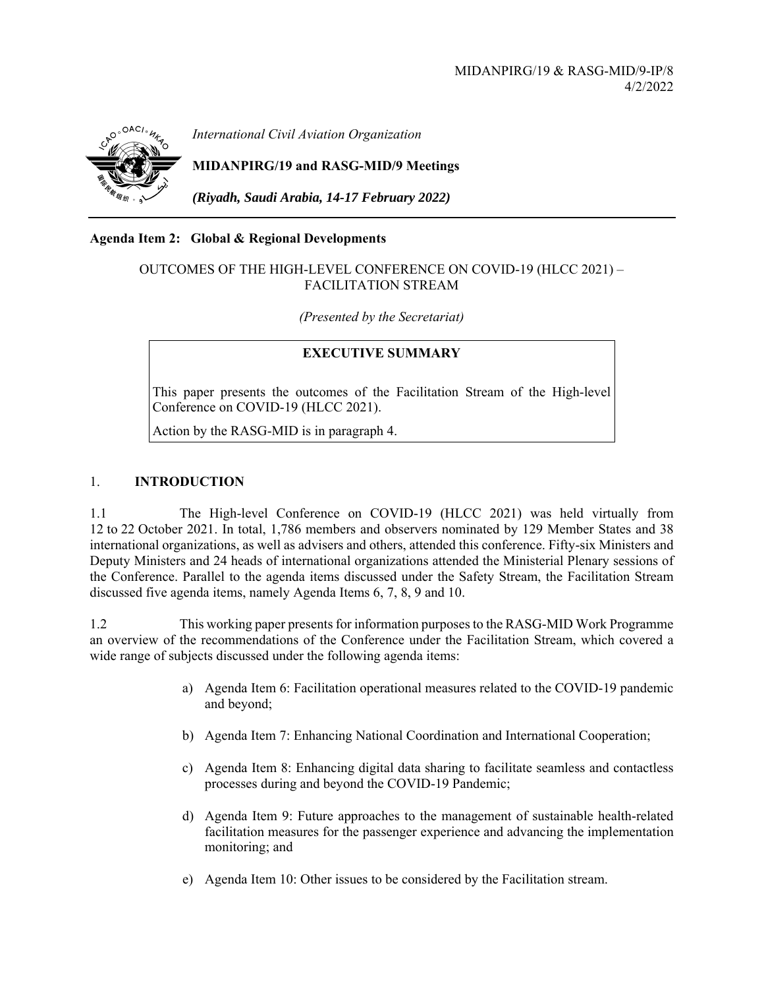

*International Civil Aviation Organization*

# **MIDANPIRG/19 and RASG-MID/9 Meetings**

*(Riyadh, Saudi Arabia, 14-17 February 2022)* 

#### **Agenda Item 2: Global & Regional Developments**

### OUTCOMES OF THE HIGH-LEVEL CONFERENCE ON COVID-19 (HLCC 2021) – FACILITATION STREAM

*(Presented by the Secretariat)* 

## **EXECUTIVE SUMMARY**

This paper presents the outcomes of the Facilitation Stream of the High-level Conference on COVID-19 (HLCC 2021).

Action by the RASG-MID is in paragraph 4.

### 1. **INTRODUCTION**

1.1 The High-level Conference on COVID-19 (HLCC 2021) was held virtually from 12 to 22 October 2021. In total, 1,786 members and observers nominated by 129 Member States and 38 international organizations, as well as advisers and others, attended this conference. Fifty-six Ministers and Deputy Ministers and 24 heads of international organizations attended the Ministerial Plenary sessions of the Conference. Parallel to the agenda items discussed under the Safety Stream, the Facilitation Stream discussed five agenda items, namely Agenda Items 6, 7, 8, 9 and 10.

1.2 This working paper presents for information purposes to the RASG-MID Work Programme an overview of the recommendations of the Conference under the Facilitation Stream, which covered a wide range of subjects discussed under the following agenda items:

- a) Agenda Item 6: Facilitation operational measures related to the COVID-19 pandemic and beyond;
- b) Agenda Item 7: Enhancing National Coordination and International Cooperation;
- c) Agenda Item 8: Enhancing digital data sharing to facilitate seamless and contactless processes during and beyond the COVID-19 Pandemic;
- d) Agenda Item 9: Future approaches to the management of sustainable health‑related facilitation measures for the passenger experience and advancing the implementation monitoring; and
- e) Agenda Item 10: Other issues to be considered by the Facilitation stream.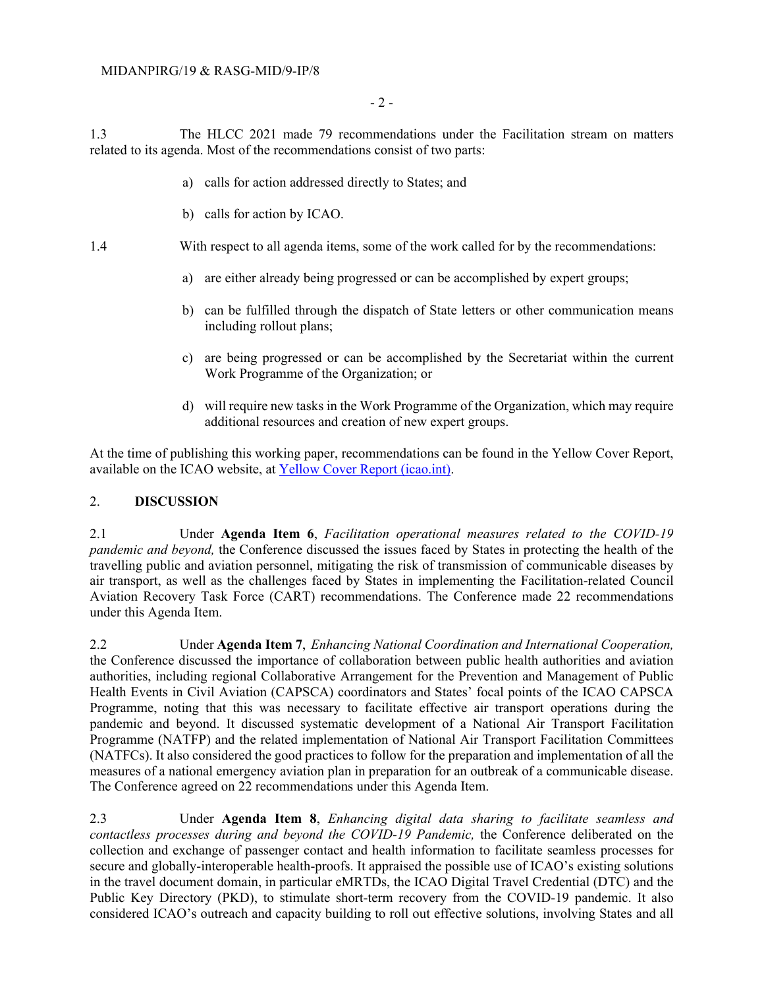1.3 The HLCC 2021 made 79 recommendations under the Facilitation stream on matters related to its agenda. Most of the recommendations consist of two parts:

- a) calls for action addressed directly to States; and
- b) calls for action by ICAO.
- 1.4 With respect to all agenda items, some of the work called for by the recommendations:
	- a) are either already being progressed or can be accomplished by expert groups;
	- b) can be fulfilled through the dispatch of State letters or other communication means including rollout plans;
	- c) are being progressed or can be accomplished by the Secretariat within the current Work Programme of the Organization; or
	- d) will require new tasks in the Work Programme of the Organization, which may require additional resources and creation of new expert groups.

At the time of publishing this working paper, recommendations can be found in the Yellow Cover Report, available on the ICAO website, at Yellow Cover Report (icao.int).

#### 2. **DISCUSSION**

2.1 Under **Agenda Item 6**, *Facilitation operational measures related to the COVID-19 pandemic and beyond,* the Conference discussed the issues faced by States in protecting the health of the travelling public and aviation personnel, mitigating the risk of transmission of communicable diseases by air transport, as well as the challenges faced by States in implementing the Facilitation-related Council Aviation Recovery Task Force (CART) recommendations. The Conference made 22 recommendations under this Agenda Item.

2.2 Under **Agenda Item 7**, *Enhancing National Coordination and International Cooperation,*  the Conference discussed the importance of collaboration between public health authorities and aviation authorities, including regional Collaborative Arrangement for the Prevention and Management of Public Health Events in Civil Aviation (CAPSCA) coordinators and States' focal points of the ICAO CAPSCA Programme, noting that this was necessary to facilitate effective air transport operations during the pandemic and beyond. It discussed systematic development of a National Air Transport Facilitation Programme (NATFP) and the related implementation of National Air Transport Facilitation Committees (NATFCs). It also considered the good practices to follow for the preparation and implementation of all the measures of a national emergency aviation plan in preparation for an outbreak of a communicable disease. The Conference agreed on 22 recommendations under this Agenda Item.

2.3 Under **Agenda Item 8**, *Enhancing digital data sharing to facilitate seamless and contactless processes during and beyond the COVID-19 Pandemic,* the Conference deliberated on the collection and exchange of passenger contact and health information to facilitate seamless processes for secure and globally-interoperable health-proofs. It appraised the possible use of ICAO's existing solutions in the travel document domain, in particular eMRTDs, the ICAO Digital Travel Credential (DTC) and the Public Key Directory (PKD), to stimulate short-term recovery from the COVID-19 pandemic. It also considered ICAO's outreach and capacity building to roll out effective solutions, involving States and all